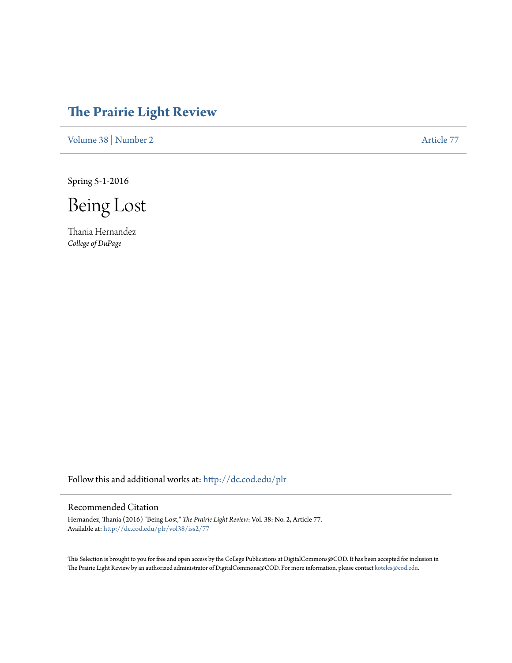## **[The Prairie Light Review](http://dc.cod.edu/plr?utm_source=dc.cod.edu%2Fplr%2Fvol38%2Fiss2%2F77&utm_medium=PDF&utm_campaign=PDFCoverPages)**

[Volume 38](http://dc.cod.edu/plr/vol38?utm_source=dc.cod.edu%2Fplr%2Fvol38%2Fiss2%2F77&utm_medium=PDF&utm_campaign=PDFCoverPages) | [Number 2](http://dc.cod.edu/plr/vol38/iss2?utm_source=dc.cod.edu%2Fplr%2Fvol38%2Fiss2%2F77&utm_medium=PDF&utm_campaign=PDFCoverPages) [Article 77](http://dc.cod.edu/plr/vol38/iss2/77?utm_source=dc.cod.edu%2Fplr%2Fvol38%2Fiss2%2F77&utm_medium=PDF&utm_campaign=PDFCoverPages)

Spring 5-1-2016

Being Lost

Thania Hernandez *College of DuPage*

Follow this and additional works at: [http://dc.cod.edu/plr](http://dc.cod.edu/plr?utm_source=dc.cod.edu%2Fplr%2Fvol38%2Fiss2%2F77&utm_medium=PDF&utm_campaign=PDFCoverPages)

## Recommended Citation

Hernandez, Thania (2016) "Being Lost," *The Prairie Light Review*: Vol. 38: No. 2, Article 77. Available at: [http://dc.cod.edu/plr/vol38/iss2/77](http://dc.cod.edu/plr/vol38/iss2/77?utm_source=dc.cod.edu%2Fplr%2Fvol38%2Fiss2%2F77&utm_medium=PDF&utm_campaign=PDFCoverPages)

This Selection is brought to you for free and open access by the College Publications at DigitalCommons@COD. It has been accepted for inclusion in The Prairie Light Review by an authorized administrator of DigitalCommons@COD. For more information, please contact [koteles@cod.edu.](mailto:koteles@cod.edu)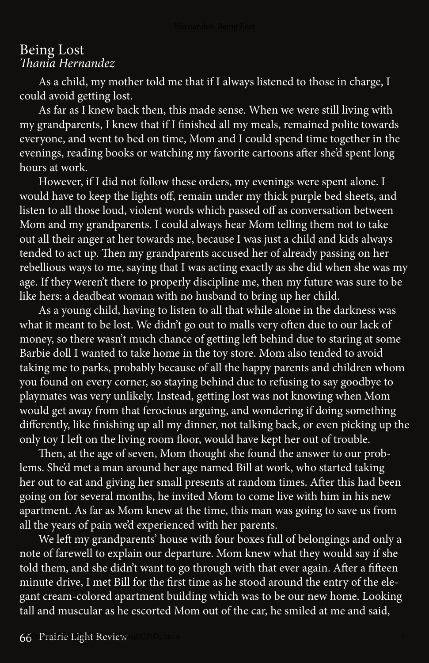## Being Lost *Thania Hernandez*

 As a child, my mother told me that if I always listened to those in charge, I could avoid getting lost.

 As far as I knew back then, this made sense. When we were still living with my grandparents, I knew that if I finished all my meals, remained polite towards everyone, and went to bed on time, Mom and I could spend time together in the evenings, reading books or watching my favorite cartoons after she'd spent long hours at work.

 However, if I did not follow these orders, my evenings were spent alone. I would have to keep the lights off, remain under my thick purple bed sheets, and listen to all those loud, violent words which passed off as conversation between Mom and my grandparents. I could always hear Mom telling them not to take out all their anger at her towards me, because I was just a child and kids always tended to act up. Then my grandparents accused her of already passing on her rebellious ways to me, saying that I was acting exactly as she did when she was my age. If they weren't there to properly discipline me, then my future was sure to be like hers: a deadbeat woman with no husband to bring up her child.

 As a young child, having to listen to all that while alone in the darkness was what it meant to be lost. We didn't go out to malls very often due to our lack of money, so there wasn't much chance of getting left behind due to staring at some Barbie doll I wanted to take home in the toy store. Mom also tended to avoid taking me to parks, probably because of all the happy parents and children whom you found on every corner, so staying behind due to refusing to say goodbye to playmates was very unlikely. Instead, getting lost was not knowing when Mom would get away from that ferocious arguing, and wondering if doing something differently, like finishing up all my dinner, not talking back, or even picking up the only toy I left on the living room floor, would have kept her out of trouble.

 Then, at the age of seven, Mom thought she found the answer to our problems. She'd met a man around her age named Bill at work, who started taking her out to eat and giving her small presents at random times. After this had been going on for several months, he invited Mom to come live with him in his new apartment. As far as Mom knew at the time, this man was going to save us from all the years of pain we'd experienced with her parents.

 We left my grandparents' house with four boxes full of belongings and only a note of farewell to explain our departure. Mom knew what they would say if she told them, and she didn't want to go through with that ever again. After a fifteen minute drive, I met Bill for the first time as he stood around the entry of the elegant cream-colored apartment building which was to be our new home. Looking tall and muscular as he escorted Mom out of the car, he smiled at me and said,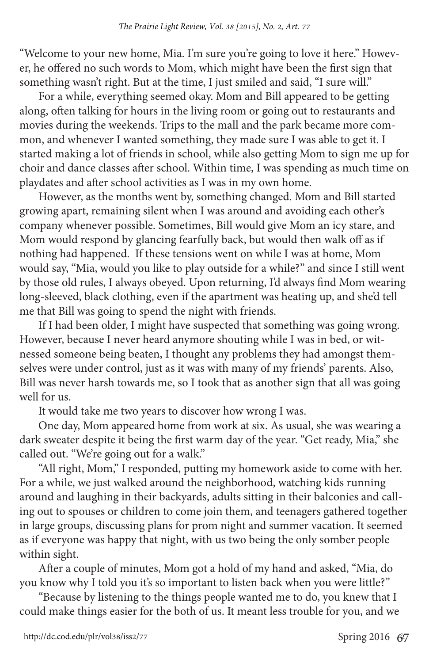"Welcome to your new home, Mia. I'm sure you're going to love it here." However, he offered no such words to Mom, which might have been the first sign that something wasn't right. But at the time, I just smiled and said, "I sure will."

 For a while, everything seemed okay. Mom and Bill appeared to be getting along, often talking for hours in the living room or going out to restaurants and movies during the weekends. Trips to the mall and the park became more common, and whenever I wanted something, they made sure I was able to get it. I started making a lot of friends in school, while also getting Mom to sign me up for choir and dance classes after school. Within time, I was spending as much time on playdates and after school activities as I was in my own home.

 However, as the months went by, something changed. Mom and Bill started growing apart, remaining silent when I was around and avoiding each other's company whenever possible. Sometimes, Bill would give Mom an icy stare, and Mom would respond by glancing fearfully back, but would then walk off as if nothing had happened. If these tensions went on while I was at home, Mom would say, "Mia, would you like to play outside for a while?" and since I still went by those old rules, I always obeyed. Upon returning, I'd always find Mom wearing long-sleeved, black clothing, even if the apartment was heating up, and she'd tell me that Bill was going to spend the night with friends.

 If I had been older, I might have suspected that something was going wrong. However, because I never heard anymore shouting while I was in bed, or witnessed someone being beaten, I thought any problems they had amongst themselves were under control, just as it was with many of my friends' parents. Also, Bill was never harsh towards me, so I took that as another sign that all was going well for us.

It would take me two years to discover how wrong I was.

 One day, Mom appeared home from work at six. As usual, she was wearing a dark sweater despite it being the first warm day of the year. "Get ready, Mia," she called out. "We're going out for a walk."

 "All right, Mom," I responded, putting my homework aside to come with her. For a while, we just walked around the neighborhood, watching kids running around and laughing in their backyards, adults sitting in their balconies and calling out to spouses or children to come join them, and teenagers gathered together in large groups, discussing plans for prom night and summer vacation. It seemed as if everyone was happy that night, with us two being the only somber people within sight.

 After a couple of minutes, Mom got a hold of my hand and asked, "Mia, do you know why I told you it's so important to listen back when you were little?"

 "Because by listening to the things people wanted me to do, you knew that I could make things easier for the both of us. It meant less trouble for you, and we